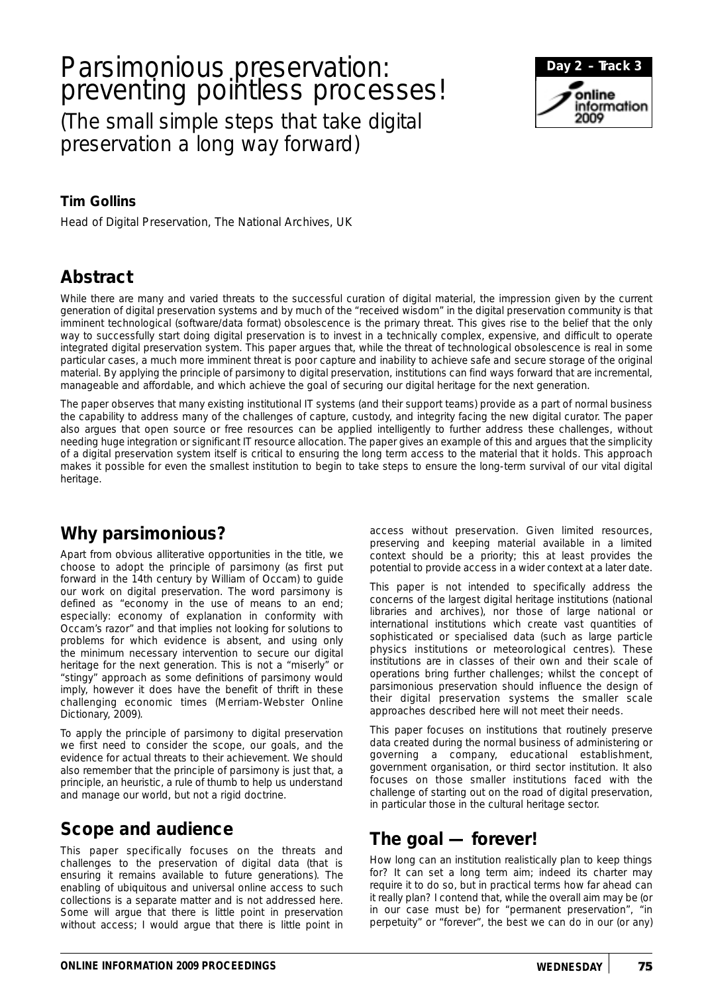# Parsimonious preservation: preventing pointless processes! (The small simple steps that take digital preservation a long way forward)



#### **Tim Gollins**

*Head of Digital Preservation, The National Archives, UK*

# **Abstract**

While there are many and varied threats to the successful curation of digital material, the impression given by the current generation of digital preservation systems and by much of the "received wisdom" in the digital preservation community is that imminent technological (software/data format) obsolescence is the primary threat. This gives rise to the belief that the only way to successfully start doing digital preservation is to invest in a technically complex, expensive, and difficult to operate integrated digital preservation system. This paper argues that, while the threat of technological obsolescence is real in some particular cases, a much more imminent threat is poor capture and inability to achieve safe and secure storage of the original material. By applying the principle of parsimony to digital preservation, institutions can find ways forward that are incremental, manageable and affordable, and which achieve the goal of securing our digital heritage for the next generation.

The paper observes that many existing institutional IT systems (and their support teams) provide as a part of normal business the capability to address many of the challenges of capture, custody, and integrity facing the new digital curator. The paper also argues that open source or free resources can be applied intelligently to further address these challenges, without needing huge integration or significant IT resource allocation. The paper gives an example of this and argues that the simplicity of a digital preservation system itself is critical to ensuring the long term access to the material that it holds. This approach makes it possible for even the smallest institution to begin to take steps to ensure the long-term survival of our vital digital heritage.

## **Why parsimonious?**

Apart from obvious alliterative opportunities in the title, we choose to adopt the principle of parsimony (as first put forward in the 14th century by William of Occam) to guide our work on digital preservation. The word parsimony is defined as "economy in the use of means to an end; especially: economy of explanation in conformity with Occam's razor" and that implies not looking for solutions to problems for which evidence is absent, and using only the minimum necessary intervention to secure our digital heritage for the next generation. This is not a "miserly" or "stingy" approach as some definitions of parsimony would imply, however it does have the benefit of thrift in these challenging economic times (Merriam-Webster Online Dictionary, 2009).

To apply the principle of parsimony to digital preservation we first need to consider the scope, our goals, and the evidence for actual threats to their achievement. We should also remember that the principle of parsimony is just that, a principle, an heuristic, a rule of thumb to help us understand and manage our world, but not a rigid doctrine.

#### **Scope and audience**

This paper specifically focuses on the threats and challenges to the *preservation* of digital data (that is ensuring it remains available to future generations). The enabling of ubiquitous and universal online access to such collections is a separate matter and is not addressed here. Some will argue that there is little point in preservation without access; I would argue that there is little point in access without preservation. Given limited resources, preserving and keeping material available in a limited context should be a priority; this at least provides the potential to provide access in a wider context at a later date.

This paper is not intended to specifically address the concerns of the largest digital heritage institutions (national libraries and archives), nor those of large national or international institutions which create vast quantities of sophisticated or specialised data (such as large particle physics institutions or meteorological centres). These institutions are in classes of their own and their scale of operations bring further challenges; whilst the concept of parsimonious preservation should influence the design of their digital preservation systems the smaller scale approaches described here will not meet their needs.

This paper focuses on institutions that routinely preserve data created during the normal business of administering or governing a company, educational establishment, government organisation, or third sector institution. It also focuses on those smaller institutions faced with the challenge of starting out on the road of digital preservation, in particular those in the cultural heritage sector.

#### **The goal — forever!**

How long can an institution realistically plan to keep things for? It can set a long term aim; indeed its charter may require it to do so, but in practical terms how far ahead can it really plan? I contend that, while the overall aim may be (or in our case must be) for "permanent preservation", "in perpetuity" or "forever", the best we can do in our (or any)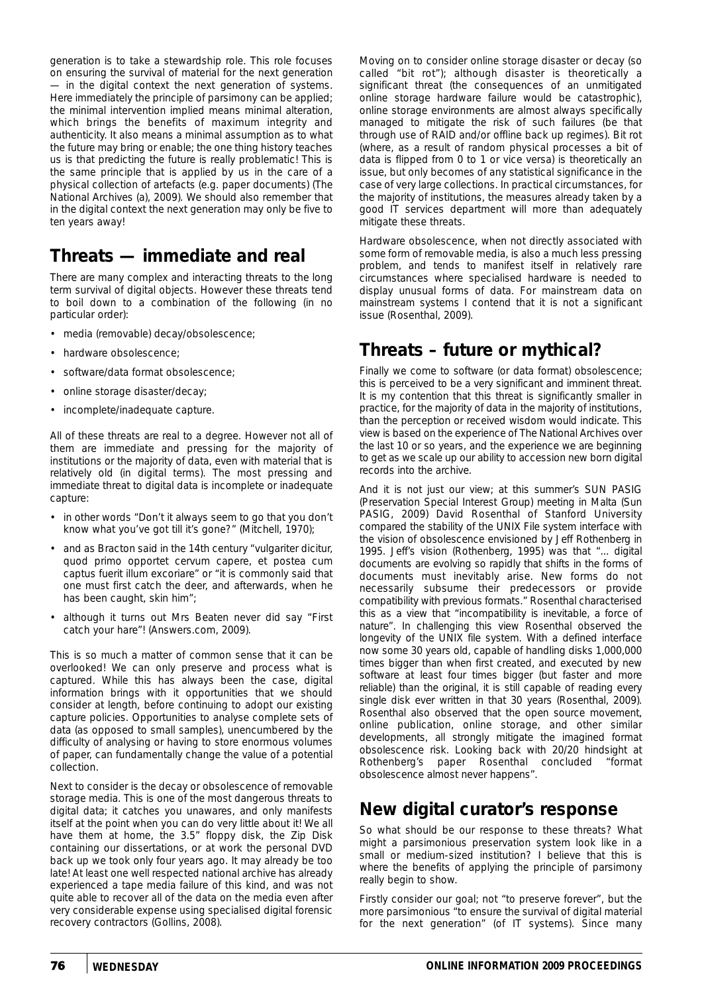generation is to take a stewardship role. This role focuses on ensuring the survival of material for the next generation — in the digital context the next generation of systems. Here immediately the principle of parsimony can be applied; the minimal intervention implied means minimal alteration, which brings the benefits of maximum integrity and authenticity. It also means a minimal assumption as to what the future may bring or enable; the one thing history teaches us is that predicting the future is really problematic! This is the same principle that is applied by us in the care of a physical collection of artefacts (e.g. paper documents) (The National Archives (a), 2009). We should also remember that in the digital context the next generation may only be five to ten years away!

#### **Threats — immediate and real**

There are many complex and interacting threats to the long term survival of digital objects. However these threats tend to boil down to a combination of the following (in no particular order):

- media (removable) decay/obsolescence;
- hardware obsolescence;
- software/data format obsolescence;
- online storage disaster/decay;
- incomplete/inadequate capture.

All of these threats are real to a degree. However not all of them are immediate and pressing for the majority of institutions or the majority of data, even with material that is relatively old (in digital terms). The most pressing and immediate threat to digital data is incomplete or inadequate capture:

- in other words "Don't it always seem to go that you don't know what you've got till it's gone?" (Mitchell, 1970);
- and as Bracton said in the 14th century "vulgariter dicitur, quod primo opportet cervum capere, et postea cum captus fuerit illum excoriare" or "it is commonly said that one must first catch the deer, and afterwards, when he has been caught, skin him";
- although it turns out Mrs Beaten never did say "First catch your hare"! (Answers.com, 2009).

This is so much a matter of common sense that it can be overlooked! We can only preserve and process what is captured. While this has always been the case, digital information brings with it opportunities that we should consider at length, before continuing to adopt our existing capture policies. Opportunities to analyse complete sets of data (as opposed to small samples), unencumbered by the difficulty of analysing or having to store enormous volumes of paper, can fundamentally change the value of a potential collection.

Next to consider is the decay or obsolescence of removable storage media. This is one of the most dangerous threats to digital data; it catches you unawares, and only manifests itself at the point when you can do very little about it! We all have them at home, the 3.5" floppy disk, the Zip Disk containing our dissertations, or at work the personal DVD back up we took only four years ago. It may already be too late! At least one well respected national archive has already experienced a tape media failure of this kind, and was not quite able to recover all of the data on the media even after very considerable expense using specialised digital forensic recovery contractors (Gollins, 2008).

Moving on to consider online storage disaster or decay (so called "bit rot"); although disaster is theoretically a significant threat (the consequences of an *unmitigated* online storage hardware failure would be catastrophic), online storage environments are almost always specifically managed to mitigate the risk of such failures (be that through use of RAID and/or offline back up regimes). Bit rot (where, as a result of random physical processes a bit of data is flipped from 0 to 1 or vice versa) is theoretically an issue, but only becomes of any statistical significance in the case of very large collections. In practical circumstances, for the majority of institutions, the measures already taken by a good IT services department will more than adequately mitigate these threats.

Hardware obsolescence, when not directly associated with some form of removable media, is also a much less pressing problem, and tends to manifest itself in relatively rare circumstances where specialised hardware is needed to display unusual forms of data. For mainstream data on mainstream systems I contend that it is not a significant issue (Rosenthal, 2009).

### **Threats – future or mythical?**

Finally we come to software (or data format) obsolescence; this is perceived to be a very significant and imminent threat. It is my contention that this threat is significantly smaller in practice, for the majority of data in the majority of institutions, than the perception or received wisdom would indicate. This view is based on the experience of The National Archives over the last 10 or so years, and the experience we are beginning to get as we scale up our ability to accession new born digital records into the archive.

And it is not just our view; at this summer's SUN PASIG (Preservation Special Interest Group) meeting in Malta (Sun PASIG, 2009) David Rosenthal of Stanford University compared the stability of the UNIX File system interface with the vision of obsolescence envisioned by Jeff Rothenberg in 1995. Jeff's vision (Rothenberg, 1995) was that "... digital documents are evolving so rapidly that shifts in the forms of documents must inevitably arise. New forms do not necessarily subsume their predecessors or provide compatibility with previous formats." Rosenthal characterised this as a view that "incompatibility is inevitable, a force of nature". In challenging this view Rosenthal observed the longevity of the UNIX file system. With a defined interface now some 30 years old, capable of handling disks 1,000,000 times bigger than when first created, and executed by new software at least four times bigger (but faster and more reliable) than the original, it is still capable of reading every single disk ever written in that 30 years (Rosenthal, 2009). Rosenthal also observed that the open source movement, online publication, online storage, and other similar developments, all strongly mitigate the imagined format obsolescence risk. Looking back with 20/20 hindsight at Rothenberg's paper Rosenthal concluded "format obsolescence almost never happens".

#### **New digital curator's response**

So what should be our response to these threats? What might a parsimonious preservation system look like in a small or medium-sized institution? I believe that this is where the benefits of applying the principle of parsimony really begin to show.

Firstly consider our goal; not "to preserve forever", but the more parsimonious "to ensure the survival of digital material for the next generation" (of IT systems). Since many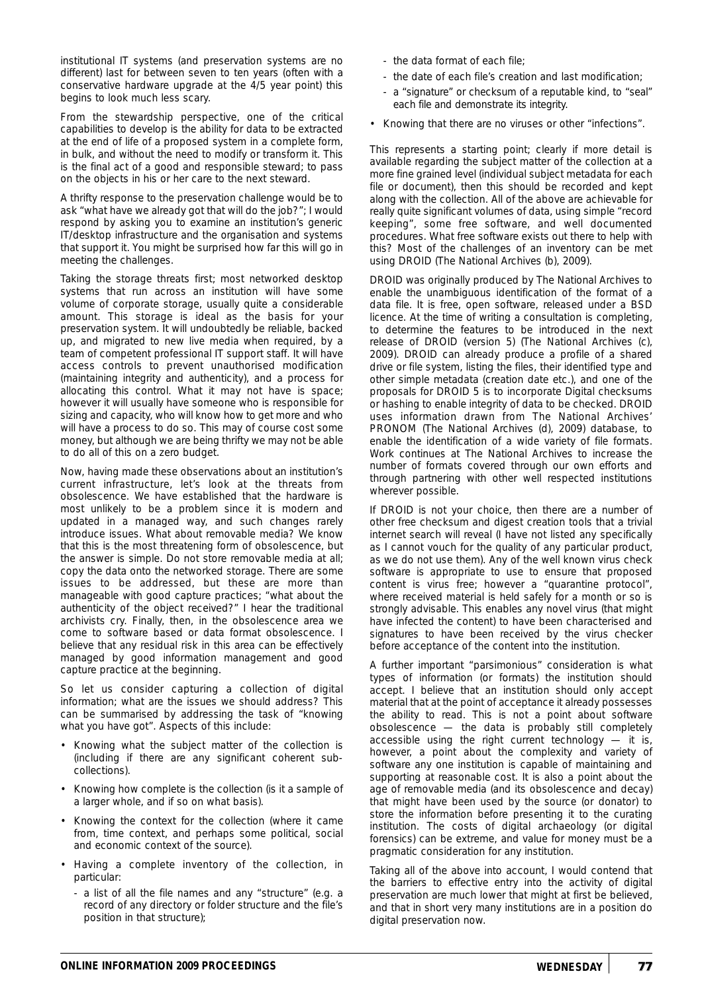institutional IT systems (and preservation systems are no different) last for between seven to ten years (often with a conservative hardware upgrade at the 4/5 year point) this begins to look much less scary.

From the stewardship perspective, one of the critical capabilities to develop is the ability for data to be extracted at the end of life of a proposed system in a complete form, in bulk, and without the need to modify or transform it. This is the final act of a good and responsible steward; to pass on the objects in his or her care to the next steward.

A thrifty response to the preservation challenge would be to ask "what have we already got that will do the job?"; I would respond by asking you to examine an institution's generic IT/desktop infrastructure and the organisation and systems that support it. You might be surprised how far this will go in meeting the challenges.

Taking the storage threats first; most networked desktop systems that run across an institution will have some volume of corporate storage, usually quite a considerable amount. This storage is ideal as the basis for your preservation system. It will undoubtedly be reliable, backed up, and migrated to new live media when required, by a team of competent professional IT support staff. It will have access controls to prevent unauthorised modification (maintaining integrity and authenticity), and a process for allocating this control. What it may not have is space; however it will usually have someone who is responsible for sizing and capacity, who will know how to get more and who will have a process to do so. This may of course cost some money, but although we are being thrifty we may not be able to do all of this on a zero budget.

Now, having made these observations about an institution's current infrastructure, let's look at the threats from obsolescence. We have established that the hardware is most unlikely to be a problem since it is modern and updated in a managed way, and such changes rarely introduce issues. What about removable media? We know that this is the most threatening form of obsolescence, but the answer is simple. Do not store removable media at all; copy the data onto the networked storage. There are some issues to be addressed, but these are more than manageable with good capture practices; "what about the authenticity of the object received?" I hear the traditional archivists cry. Finally, then, in the obsolescence area we come to software based or data format obsolescence. I believe that any residual risk in this area can be effectively managed by good information management and good capture practice at the beginning.

So let us consider capturing a collection of digital information; what are the issues we should address? This can be summarised by addressing the task of "knowing what you have got". Aspects of this include:

- Knowing what the subject matter of the collection is (including if there are any significant coherent subcollections).
- Knowing how complete is the collection (is it a sample of a larger whole, and if so on what basis).
- Knowing the context for the collection (where it came from, time context, and perhaps some political, social and economic context of the source).
- Having a complete inventory of the collection, in particular:
	- a list of all the file names and any "structure" (e.g. a record of any directory or folder structure and the file's position in that structure);
- the data format of each file;
- the date of each file's creation and last modification;
- a "signature" or checksum of a reputable kind, to "seal" each file and demonstrate its integrity.
- Knowing that there are no viruses or other "infections".

This represents a starting point; clearly if more detail is available regarding the subject matter of the collection at a more fine grained level (individual subject metadata for each file or document), then this should be recorded and kept along with the collection. All of the above are achievable for really quite significant volumes of data, using simple "record keeping", some free software, and well documented procedures. What free software exists out there to help with this? Most of the challenges of an inventory can be met using DROID (The National Archives (b), 2009).

DROID was originally produced by The National Archives to enable the unambiguous identification of the format of a data file. It is free, open software, released under a BSD licence. At the time of writing a consultation is completing, to determine the features to be introduced in the next release of DROID (version 5) (The National Archives (c), 2009). DROID can already produce a profile of a shared drive or file system, listing the files, their identified type and other simple metadata (creation date etc.), and one of the proposals for DROID 5 is to incorporate Digital checksums or hashing to enable integrity of data to be checked. DROID uses information drawn from The National Archives' PRONOM (The National Archives (d), 2009) database, to enable the identification of a wide variety of file formats. Work continues at The National Archives to increase the number of formats covered through our own efforts and through partnering with other well respected institutions wherever possible.

If DROID is not your choice, then there are a number of other free checksum and digest creation tools that a trivial internet search will reveal (I have not listed any specifically as I cannot vouch for the quality of any particular product, as we do not use them). Any of the well known virus check software is appropriate to use to ensure that proposed content is virus free; however a "quarantine protocol", where received material is held safely for a month or so is strongly advisable. This enables any novel virus (that might have infected the content) to have been characterised and signatures to have been received by the virus checker before acceptance of the content into the institution.

A further important "parsimonious" consideration is what types of information (or formats) the institution should accept. I believe that an institution should only accept material that at the point of acceptance it already possesses the ability to read. This is not a point about software obsolescence — the data is probably still completely accessible using the right current technology — it is, however, a point about the complexity and variety of software any one institution is capable of maintaining and supporting at reasonable cost. It is also a point about the age of removable media (and its obsolescence and decay) that might have been used by the source (or donator) to store the information before presenting it to the curating institution. The costs of digital archaeology (or digital forensics) can be extreme, and value for money must be a pragmatic consideration for any institution.

Taking all of the above into account, I would contend that the barriers to effective entry into the activity of digital preservation are much lower that might at first be believed, and that in short very many institutions are in a position do digital preservation now.